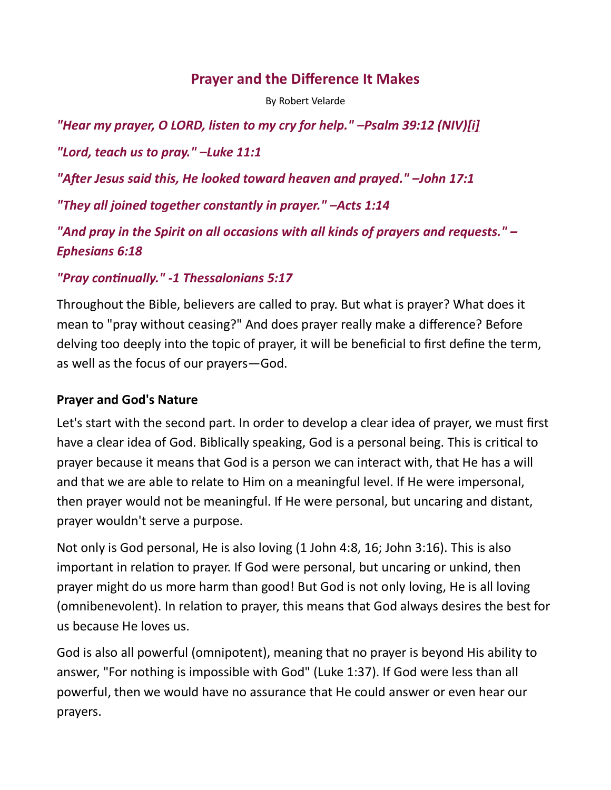## Prayer and the Difference It Makes

By Robert Velarde

"Hear my prayer, O LORD, listen to my cry for help." -Psalm 39:12 (NIV)[i]

"Lord, teach us to pray." –Luke 11:1

"After Jesus said this, He looked toward heaven and prayed." -John 17:1

"They all joined together constantly in prayer." –Acts 1:14

"And pray in the Spirit on all occasions with all kinds of prayers and requests." – Ephesians 6:18

#### "Pray continually." -1 Thessalonians 5:17

Throughout the Bible, believers are called to pray. But what is prayer? What does it mean to "pray without ceasing?" And does prayer really make a difference? Before delving too deeply into the topic of prayer, it will be beneficial to first define the term, as well as the focus of our prayers—God.

#### Prayer and God's Nature

Let's start with the second part. In order to develop a clear idea of prayer, we must first have a clear idea of God. Biblically speaking, God is a personal being. This is critical to prayer because it means that God is a person we can interact with, that He has a will and that we are able to relate to Him on a meaningful level. If He were impersonal, then prayer would not be meaningful. If He were personal, but uncaring and distant, prayer wouldn't serve a purpose.

Not only is God personal, He is also loving (1 John 4:8, 16; John 3:16). This is also important in relation to prayer. If God were personal, but uncaring or unkind, then prayer might do us more harm than good! But God is not only loving, He is all loving (omnibenevolent). In relation to prayer, this means that God always desires the best for us because He loves us.

God is also all powerful (omnipotent), meaning that no prayer is beyond His ability to answer, "For nothing is impossible with God" (Luke 1:37). If God were less than all powerful, then we would have no assurance that He could answer or even hear our prayers.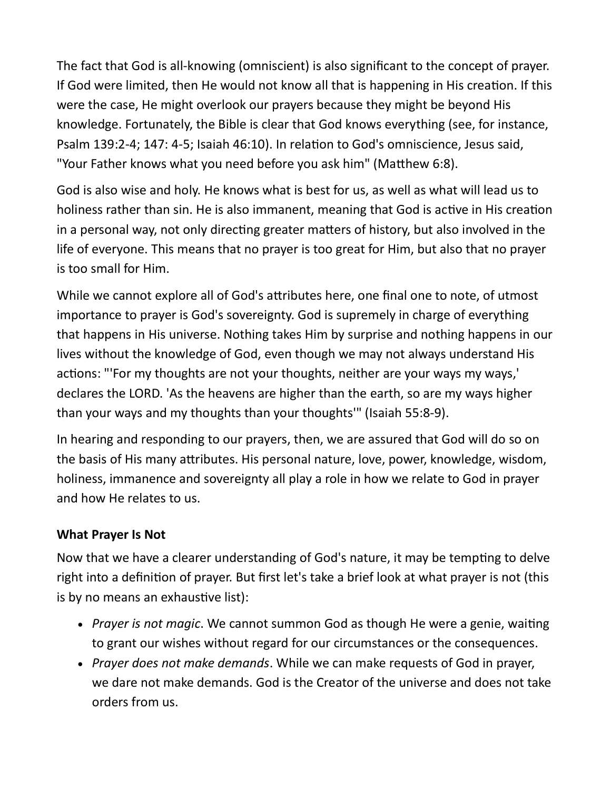The fact that God is all-knowing (omniscient) is also significant to the concept of prayer. If God were limited, then He would not know all that is happening in His creation. If this were the case, He might overlook our prayers because they might be beyond His knowledge. Fortunately, the Bible is clear that God knows everything (see, for instance, Psalm 139:2-4; 147: 4-5; Isaiah 46:10). In relation to God's omniscience, Jesus said, "Your Father knows what you need before you ask him" (Matthew 6:8).

God is also wise and holy. He knows what is best for us, as well as what will lead us to holiness rather than sin. He is also immanent, meaning that God is active in His creation in a personal way, not only directing greater matters of history, but also involved in the life of everyone. This means that no prayer is too great for Him, but also that no prayer is too small for Him.

While we cannot explore all of God's attributes here, one final one to note, of utmost importance to prayer is God's sovereignty. God is supremely in charge of everything that happens in His universe. Nothing takes Him by surprise and nothing happens in our lives without the knowledge of God, even though we may not always understand His actions: "'For my thoughts are not your thoughts, neither are your ways my ways,' declares the LORD. 'As the heavens are higher than the earth, so are my ways higher than your ways and my thoughts than your thoughts'" (Isaiah 55:8-9).

In hearing and responding to our prayers, then, we are assured that God will do so on the basis of His many attributes. His personal nature, love, power, knowledge, wisdom, holiness, immanence and sovereignty all play a role in how we relate to God in prayer and how He relates to us.

#### What Prayer Is Not

Now that we have a clearer understanding of God's nature, it may be tempting to delve right into a definition of prayer. But first let's take a brief look at what prayer is not (this is by no means an exhaustive list):

- Prayer is not magic. We cannot summon God as though He were a genie, waiting to grant our wishes without regard for our circumstances or the consequences.
- Prayer does not make demands. While we can make requests of God in prayer, we dare not make demands. God is the Creator of the universe and does not take orders from us.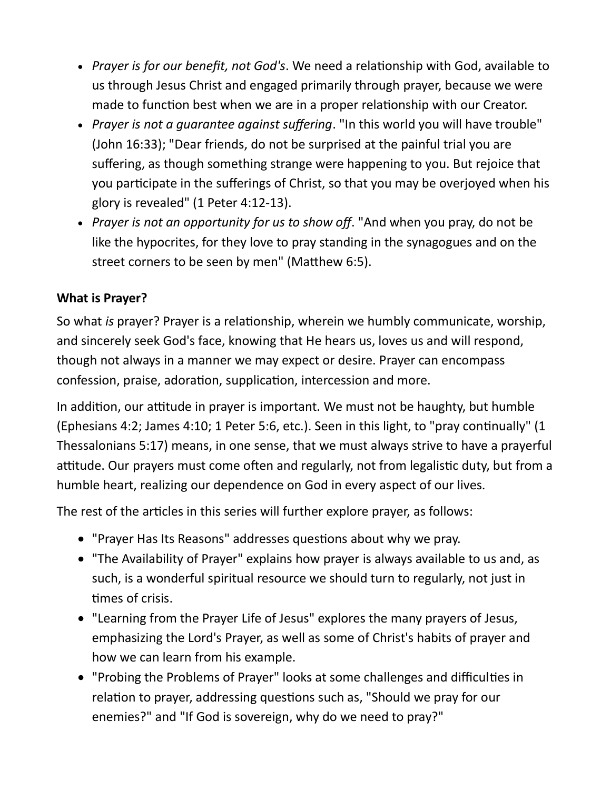- Prayer is for our benefit, not God's. We need a relationship with God, available to us through Jesus Christ and engaged primarily through prayer, because we were made to function best when we are in a proper relationship with our Creator.
- Prayer is not a quarantee against suffering. "In this world you will have trouble" (John 16:33); "Dear friends, do not be surprised at the painful trial you are suffering, as though something strange were happening to you. But rejoice that you participate in the sufferings of Christ, so that you may be overjoyed when his glory is revealed" (1 Peter 4:12-13).
- Prayer is not an opportunity for us to show off. "And when you pray, do not be like the hypocrites, for they love to pray standing in the synagogues and on the street corners to be seen by men" (Matthew 6:5).

## What is Prayer?

So what is prayer? Prayer is a relationship, wherein we humbly communicate, worship, and sincerely seek God's face, knowing that He hears us, loves us and will respond, though not always in a manner we may expect or desire. Prayer can encompass confession, praise, adoration, supplication, intercession and more.

In addition, our attitude in prayer is important. We must not be haughty, but humble (Ephesians 4:2; James 4:10; 1 Peter 5:6, etc.). Seen in this light, to "pray continually" (1 Thessalonians 5:17) means, in one sense, that we must always strive to have a prayerful attitude. Our prayers must come often and regularly, not from legalistic duty, but from a humble heart, realizing our dependence on God in every aspect of our lives.

The rest of the articles in this series will further explore prayer, as follows:

- "Prayer Has Its Reasons" addresses questions about why we pray.
- "The Availability of Prayer" explains how prayer is always available to us and, as such, is a wonderful spiritual resource we should turn to regularly, not just in times of crisis.
- "Learning from the Prayer Life of Jesus" explores the many prayers of Jesus, emphasizing the Lord's Prayer, as well as some of Christ's habits of prayer and how we can learn from his example.
- "Probing the Problems of Prayer" looks at some challenges and difficulties in relation to prayer, addressing questions such as, "Should we pray for our enemies?" and "If God is sovereign, why do we need to pray?"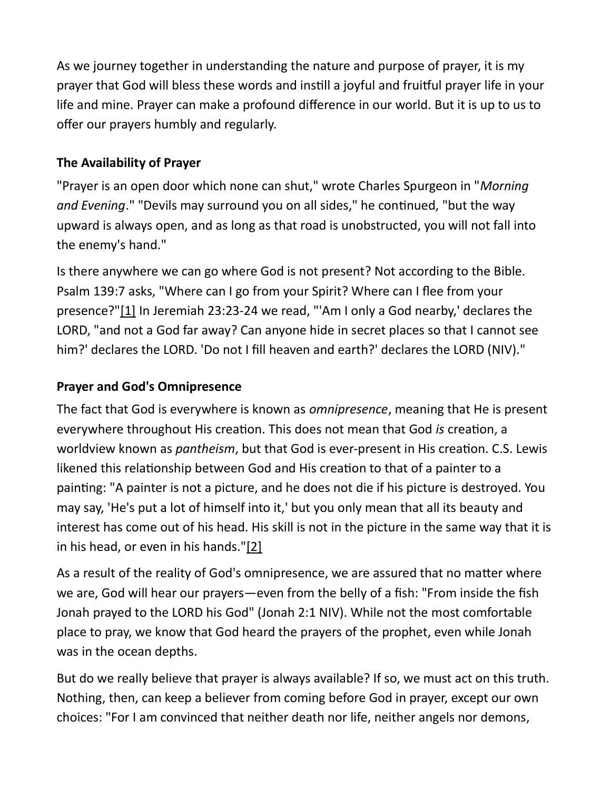As we journey together in understanding the nature and purpose of prayer, it is my prayer that God will bless these words and instill a joyful and fruitful prayer life in your life and mine. Prayer can make a profound difference in our world. But it is up to us to offer our prayers humbly and regularly.

# The Availability of Prayer

"Prayer is an open door which none can shut," wrote Charles Spurgeon in "Morning and Evening." "Devils may surround you on all sides," he continued, "but the way upward is always open, and as long as that road is unobstructed, you will not fall into the enemy's hand."

Is there anywhere we can go where God is not present? Not according to the Bible. Psalm 139:7 asks, "Where can I go from your Spirit? Where can I flee from your presence?"[1] In Jeremiah 23:23-24 we read, "'Am I only a God nearby,' declares the LORD, "and not a God far away? Can anyone hide in secret places so that I cannot see him?' declares the LORD. 'Do not I fill heaven and earth?' declares the LORD (NIV)."

# Prayer and God's Omnipresence

The fact that God is everywhere is known as *omnipresence*, meaning that He is present everywhere throughout His creation. This does not mean that God is creation, a worldview known as pantheism, but that God is ever-present in His creation. C.S. Lewis likened this relationship between God and His creation to that of a painter to a painting: "A painter is not a picture, and he does not die if his picture is destroyed. You may say, 'He's put a lot of himself into it,' but you only mean that all its beauty and interest has come out of his head. His skill is not in the picture in the same way that it is in his head, or even in his hands."[2]

As a result of the reality of God's omnipresence, we are assured that no matter where we are, God will hear our prayers—even from the belly of a fish: "From inside the fish Jonah prayed to the LORD his God" (Jonah 2:1 NIV). While not the most comfortable place to pray, we know that God heard the prayers of the prophet, even while Jonah was in the ocean depths.

But do we really believe that prayer is always available? If so, we must act on this truth. Nothing, then, can keep a believer from coming before God in prayer, except our own choices: "For I am convinced that neither death nor life, neither angels nor demons,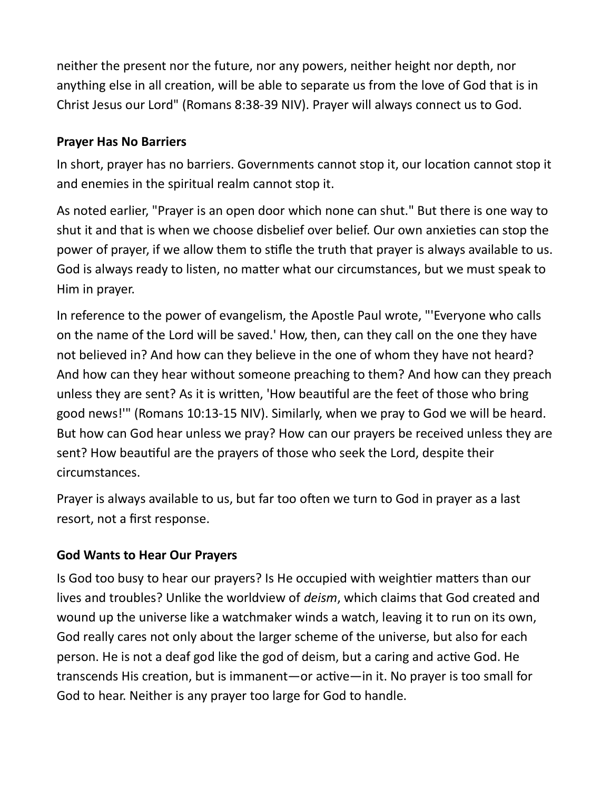neither the present nor the future, nor any powers, neither height nor depth, nor anything else in all creation, will be able to separate us from the love of God that is in Christ Jesus our Lord" (Romans 8:38-39 NIV). Prayer will always connect us to God.

## Prayer Has No Barriers

In short, prayer has no barriers. Governments cannot stop it, our location cannot stop it and enemies in the spiritual realm cannot stop it.

As noted earlier, "Prayer is an open door which none can shut." But there is one way to shut it and that is when we choose disbelief over belief. Our own anxieties can stop the power of prayer, if we allow them to stifle the truth that prayer is always available to us. God is always ready to listen, no matter what our circumstances, but we must speak to Him in prayer.

In reference to the power of evangelism, the Apostle Paul wrote, "'Everyone who calls on the name of the Lord will be saved.' How, then, can they call on the one they have not believed in? And how can they believe in the one of whom they have not heard? And how can they hear without someone preaching to them? And how can they preach unless they are sent? As it is written, 'How beautiful are the feet of those who bring good news!'" (Romans 10:13-15 NIV). Similarly, when we pray to God we will be heard. But how can God hear unless we pray? How can our prayers be received unless they are sent? How beautiful are the prayers of those who seek the Lord, despite their circumstances.

Prayer is always available to us, but far too often we turn to God in prayer as a last resort, not a first response.

# God Wants to Hear Our Prayers

Is God too busy to hear our prayers? Is He occupied with weightier matters than our lives and troubles? Unlike the worldview of deism, which claims that God created and wound up the universe like a watchmaker winds a watch, leaving it to run on its own, God really cares not only about the larger scheme of the universe, but also for each person. He is not a deaf god like the god of deism, but a caring and active God. He transcends His creation, but is immanent—or active—in it. No prayer is too small for God to hear. Neither is any prayer too large for God to handle.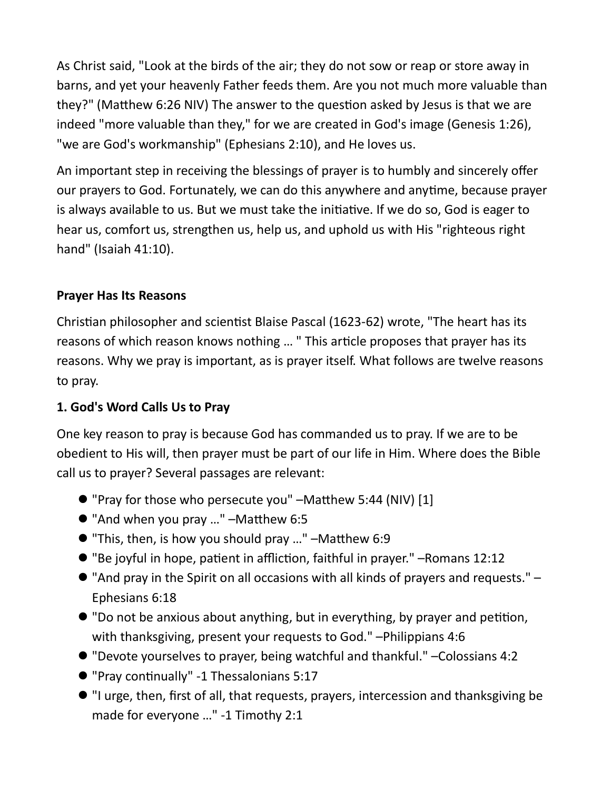As Christ said, "Look at the birds of the air; they do not sow or reap or store away in barns, and yet your heavenly Father feeds them. Are you not much more valuable than they?" (Matthew 6:26 NIV) The answer to the question asked by Jesus is that we are indeed "more valuable than they," for we are created in God's image (Genesis 1:26), "we are God's workmanship" (Ephesians 2:10), and He loves us.

An important step in receiving the blessings of prayer is to humbly and sincerely offer our prayers to God. Fortunately, we can do this anywhere and anytime, because prayer is always available to us. But we must take the initiative. If we do so, God is eager to hear us, comfort us, strengthen us, help us, and uphold us with His "righteous right hand" (Isaiah 41:10).

### Prayer Has Its Reasons

Christian philosopher and scientist Blaise Pascal (1623-62) wrote, "The heart has its reasons of which reason knows nothing ... " This article proposes that prayer has its reasons. Why we pray is important, as is prayer itself. What follows are twelve reasons to pray.

#### 1. God's Word Calls Us to Pray

One key reason to pray is because God has commanded us to pray. If we are to be obedient to His will, then prayer must be part of our life in Him. Where does the Bible call us to prayer? Several passages are relevant:

- "Pray for those who persecute you" –Matthew 5:44 (NIV) [1]
- $\bullet$  "And when you pray ..." -Matthew 6:5
- $\bullet$  "This, then, is how you should pray ..." –Matthew 6:9
- "Be joyful in hope, patient in affliction, faithful in prayer." –Romans 12:12
- "And pray in the Spirit on all occasions with all kinds of prayers and requests." Ephesians 6:18
- $\bullet$  "Do not be anxious about anything, but in everything, by prayer and petition, with thanksgiving, present your requests to God." –Philippians 4:6
- "Devote yourselves to prayer, being watchful and thankful." –Colossians 4:2
- "Pray conƟnually" -1 Thessalonians 5:17
- "I urge, then, first of all, that requests, prayers, intercession and thanksgiving be made for everyone …" -1 Timothy 2:1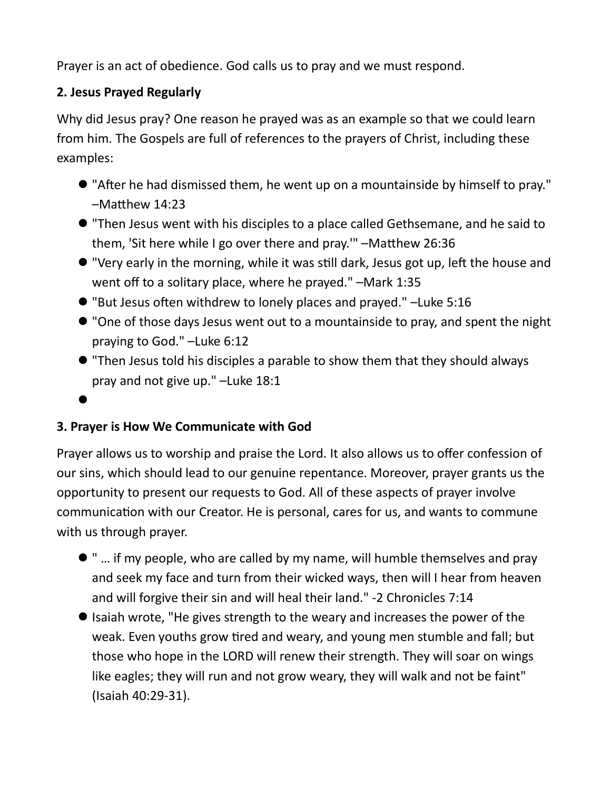Prayer is an act of obedience. God calls us to pray and we must respond.

## 2. Jesus Prayed Regularly

Why did Jesus pray? One reason he prayed was as an example so that we could learn from him. The Gospels are full of references to the prayers of Christ, including these examples:

- "After he had dismissed them, he went up on a mountainside by himself to pray." –Matthew 14:23
- "Then Jesus went with his disciples to a place called Gethsemane, and he said to them, 'Sit here while I go over there and pray.'" -Matthew 26:36
- $\bullet$  "Very early in the morning, while it was still dark, Jesus got up, left the house and went off to a solitary place, where he prayed." –Mark 1:35
- $\bullet$  "But Jesus often withdrew to lonely places and prayed." -Luke 5:16
- "One of those days Jesus went out to a mountainside to pray, and spent the night praying to God." –Luke 6:12
- "Then Jesus told his disciples a parable to show them that they should always pray and not give up." –Luke 18:1

#### $\bullet$

### 3. Prayer is How We Communicate with God

Prayer allows us to worship and praise the Lord. It also allows us to offer confession of our sins, which should lead to our genuine repentance. Moreover, prayer grants us the opportunity to present our requests to God. All of these aspects of prayer involve communication with our Creator. He is personal, cares for us, and wants to commune with us through prayer.

- " … if my people, who are called by my name, will humble themselves and pray and seek my face and turn from their wicked ways, then will I hear from heaven and will forgive their sin and will heal their land." -2 Chronicles 7:14
- $\bullet$  Isaiah wrote, "He gives strength to the weary and increases the power of the weak. Even youths grow tired and weary, and young men stumble and fall; but those who hope in the LORD will renew their strength. They will soar on wings like eagles; they will run and not grow weary, they will walk and not be faint" (Isaiah 40:29-31).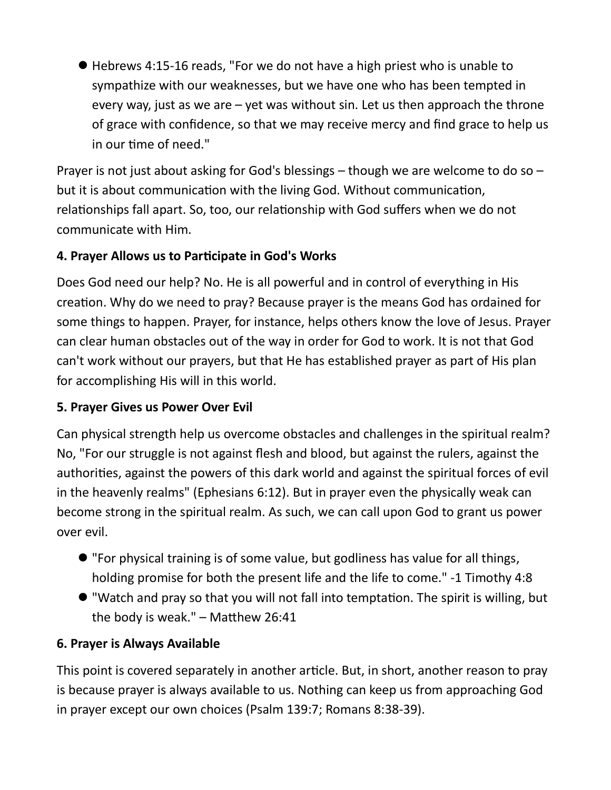Hebrews 4:15-16 reads, "For we do not have a high priest who is unable to sympathize with our weaknesses, but we have one who has been tempted in every way, just as we are  $-$  yet was without sin. Let us then approach the throne of grace with confidence, so that we may receive mercy and find grace to help us in our time of need."

Prayer is not just about asking for God's blessings – though we are welcome to do so – but it is about communication with the living God. Without communication, relationships fall apart. So, too, our relationship with God suffers when we do not communicate with Him.

# 4. Prayer Allows us to Participate in God's Works

Does God need our help? No. He is all powerful and in control of everything in His creation. Why do we need to pray? Because prayer is the means God has ordained for some things to happen. Prayer, for instance, helps others know the love of Jesus. Prayer can clear human obstacles out of the way in order for God to work. It is not that God can't work without our prayers, but that He has established prayer as part of His plan for accomplishing His will in this world.

# 5. Prayer Gives us Power Over Evil

Can physical strength help us overcome obstacles and challenges in the spiritual realm? No, "For our struggle is not against flesh and blood, but against the rulers, against the authorities, against the powers of this dark world and against the spiritual forces of evil in the heavenly realms" (Ephesians 6:12). But in prayer even the physically weak can become strong in the spiritual realm. As such, we can call upon God to grant us power over evil.

- "For physical training is of some value, but godliness has value for all things, holding promise for both the present life and the life to come." -1 Timothy 4:8
- $\bullet$  "Watch and pray so that you will not fall into temptation. The spirit is willing, but the body is weak."  $-$  Matthew 26:41

# 6. Prayer is Always Available

This point is covered separately in another article. But, in short, another reason to pray is because prayer is always available to us. Nothing can keep us from approaching God in prayer except our own choices (Psalm 139:7; Romans 8:38-39).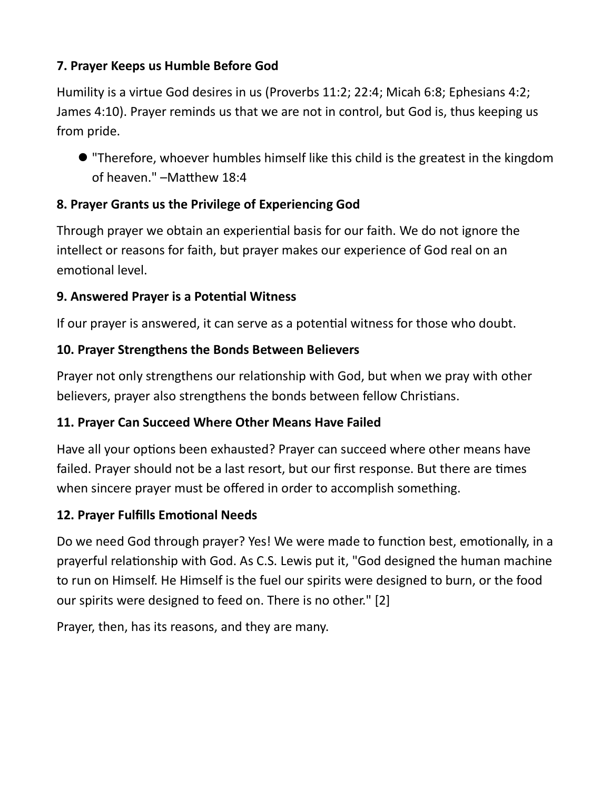## 7. Prayer Keeps us Humble Before God

Humility is a virtue God desires in us (Proverbs 11:2; 22:4; Micah 6:8; Ephesians 4:2; James 4:10). Prayer reminds us that we are not in control, but God is, thus keeping us from pride.

 "Therefore, whoever humbles himself like this child is the greatest in the kingdom of heaven." –Matthew 18:4

# 8. Prayer Grants us the Privilege of Experiencing God

Through prayer we obtain an experiential basis for our faith. We do not ignore the intellect or reasons for faith, but prayer makes our experience of God real on an emotional level.

# 9. Answered Prayer is a Potential Witness

If our prayer is answered, it can serve as a potential witness for those who doubt.

# 10. Prayer Strengthens the Bonds Between Believers

Prayer not only strengthens our relationship with God, but when we pray with other believers, prayer also strengthens the bonds between fellow Christians.

# 11. Prayer Can Succeed Where Other Means Have Failed

Have all your options been exhausted? Prayer can succeed where other means have failed. Prayer should not be a last resort, but our first response. But there are times when sincere prayer must be offered in order to accomplish something.

# 12. Prayer Fulfills Emotional Needs

Do we need God through prayer? Yes! We were made to function best, emotionally, in a prayerful relationship with God. As C.S. Lewis put it, "God designed the human machine to run on Himself. He Himself is the fuel our spirits were designed to burn, or the food our spirits were designed to feed on. There is no other." [2]

Prayer, then, has its reasons, and they are many.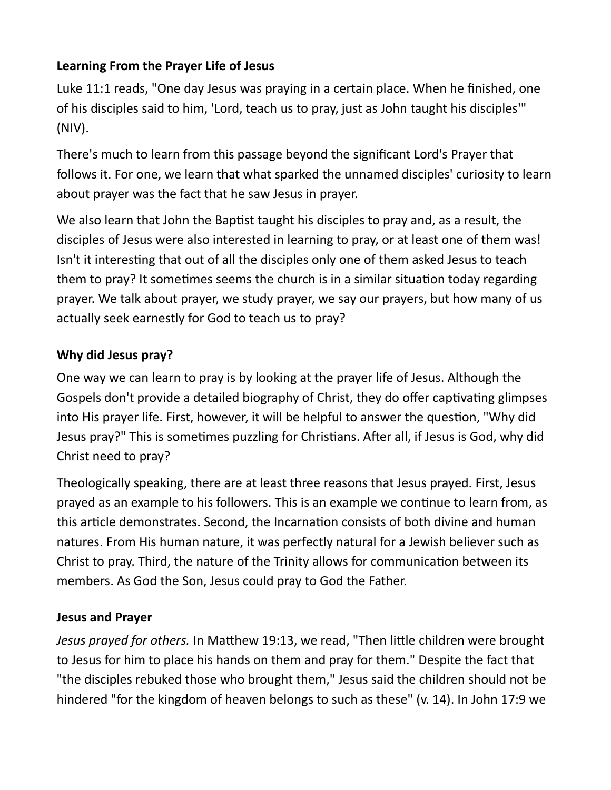## Learning From the Prayer Life of Jesus

Luke 11:1 reads, "One day Jesus was praying in a certain place. When he finished, one of his disciples said to him, 'Lord, teach us to pray, just as John taught his disciples'" (NIV).

There's much to learn from this passage beyond the significant Lord's Prayer that follows it. For one, we learn that what sparked the unnamed disciples' curiosity to learn about prayer was the fact that he saw Jesus in prayer.

We also learn that John the Baptist taught his disciples to pray and, as a result, the disciples of Jesus were also interested in learning to pray, or at least one of them was! Isn't it interesting that out of all the disciples only one of them asked Jesus to teach them to pray? It sometimes seems the church is in a similar situation today regarding prayer. We talk about prayer, we study prayer, we say our prayers, but how many of us actually seek earnestly for God to teach us to pray?

### Why did Jesus pray?

One way we can learn to pray is by looking at the prayer life of Jesus. Although the Gospels don't provide a detailed biography of Christ, they do offer captivating glimpses into His prayer life. First, however, it will be helpful to answer the question, "Why did Jesus pray?" This is sometimes puzzling for Christians. After all, if Jesus is God, why did Christ need to pray?

Theologically speaking, there are at least three reasons that Jesus prayed. First, Jesus prayed as an example to his followers. This is an example we continue to learn from, as this article demonstrates. Second, the Incarnation consists of both divine and human natures. From His human nature, it was perfectly natural for a Jewish believer such as Christ to pray. Third, the nature of the Trinity allows for communication between its members. As God the Son, Jesus could pray to God the Father.

### Jesus and Prayer

Jesus prayed for others. In Matthew 19:13, we read, "Then little children were brought to Jesus for him to place his hands on them and pray for them." Despite the fact that "the disciples rebuked those who brought them," Jesus said the children should not be hindered "for the kingdom of heaven belongs to such as these" (v. 14). In John 17:9 we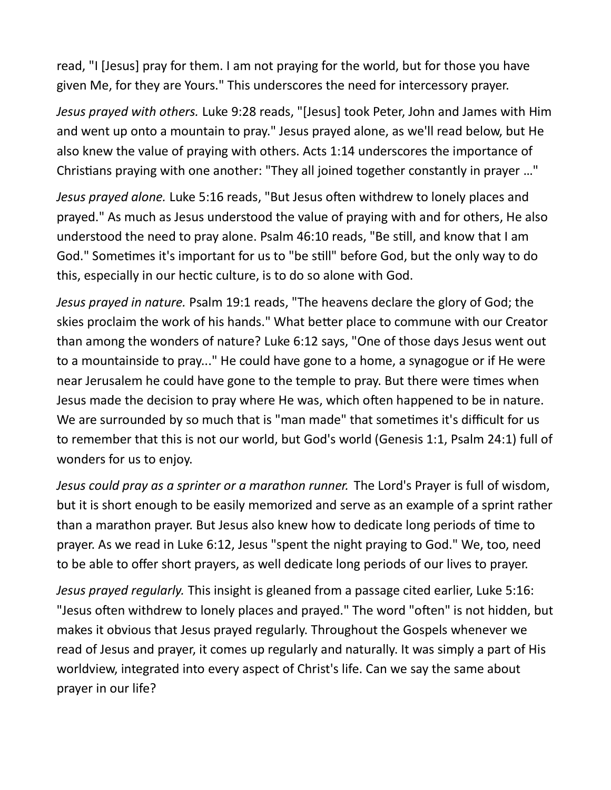read, "I [Jesus] pray for them. I am not praying for the world, but for those you have given Me, for they are Yours." This underscores the need for intercessory prayer.

Jesus prayed with others. Luke 9:28 reads, "[Jesus] took Peter, John and James with Him and went up onto a mountain to pray." Jesus prayed alone, as we'll read below, but He also knew the value of praying with others. Acts 1:14 underscores the importance of Christians praying with one another: "They all joined together constantly in prayer ..."

Jesus prayed alone. Luke 5:16 reads, "But Jesus often withdrew to lonely places and prayed." As much as Jesus understood the value of praying with and for others, He also understood the need to pray alone. Psalm 46:10 reads, "Be still, and know that I am God." Sometimes it's important for us to "be still" before God, but the only way to do this, especially in our hectic culture, is to do so alone with God.

Jesus prayed in nature. Psalm 19:1 reads, "The heavens declare the glory of God; the skies proclaim the work of his hands." What better place to commune with our Creator than among the wonders of nature? Luke 6:12 says, "One of those days Jesus went out to a mountainside to pray..." He could have gone to a home, a synagogue or if He were near Jerusalem he could have gone to the temple to pray. But there were times when Jesus made the decision to pray where He was, which often happened to be in nature. We are surrounded by so much that is "man made" that sometimes it's difficult for us to remember that this is not our world, but God's world (Genesis 1:1, Psalm 24:1) full of wonders for us to enjoy.

Jesus could pray as a sprinter or a marathon runner. The Lord's Prayer is full of wisdom, but it is short enough to be easily memorized and serve as an example of a sprint rather than a marathon prayer. But Jesus also knew how to dedicate long periods of time to prayer. As we read in Luke 6:12, Jesus "spent the night praying to God." We, too, need to be able to offer short prayers, as well dedicate long periods of our lives to prayer.

Jesus prayed regularly. This insight is gleaned from a passage cited earlier, Luke 5:16: "Jesus often withdrew to lonely places and prayed." The word "often" is not hidden, but makes it obvious that Jesus prayed regularly. Throughout the Gospels whenever we read of Jesus and prayer, it comes up regularly and naturally. It was simply a part of His worldview, integrated into every aspect of Christ's life. Can we say the same about prayer in our life?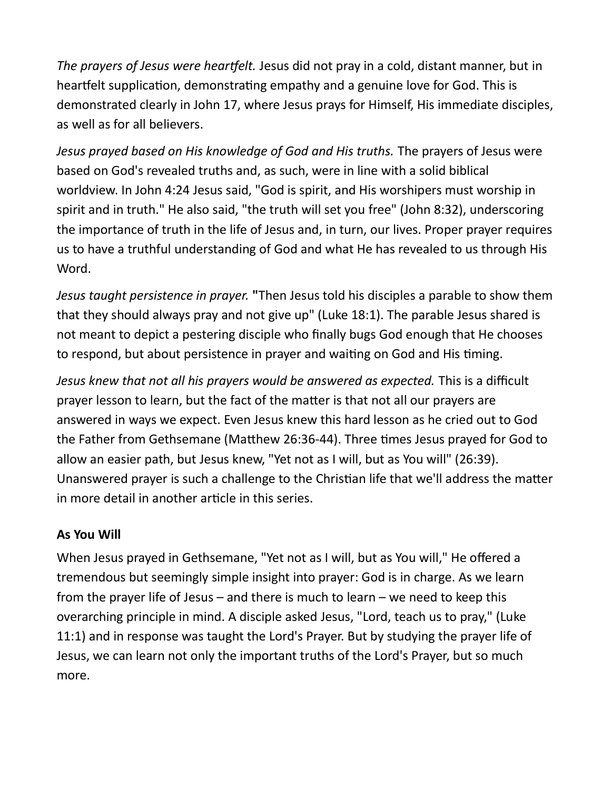The prayers of Jesus were heartfelt. Jesus did not pray in a cold, distant manner, but in heartfelt supplication, demonstrating empathy and a genuine love for God. This is demonstrated clearly in John 17, where Jesus prays for Himself, His immediate disciples, as well as for all believers.

Jesus prayed based on His knowledge of God and His truths. The prayers of Jesus were based on God's revealed truths and, as such, were in line with a solid biblical worldview. In John 4:24 Jesus said, "God is spirit, and His worshipers must worship in spirit and in truth." He also said, "the truth will set you free" (John 8:32), underscoring the importance of truth in the life of Jesus and, in turn, our lives. Proper prayer requires us to have a truthful understanding of God and what He has revealed to us through His Word.

Jesus taught persistence in prayer. "Then Jesus told his disciples a parable to show them that they should always pray and not give up" (Luke 18:1). The parable Jesus shared is not meant to depict a pestering disciple who finally bugs God enough that He chooses to respond, but about persistence in prayer and waiting on God and His timing.

Jesus knew that not all his prayers would be answered as expected. This is a difficult prayer lesson to learn, but the fact of the matter is that not all our prayers are answered in ways we expect. Even Jesus knew this hard lesson as he cried out to God the Father from Gethsemane (Matthew 26:36-44). Three times Jesus prayed for God to allow an easier path, but Jesus knew, "Yet not as I will, but as You will" (26:39). Unanswered prayer is such a challenge to the Christian life that we'll address the matter in more detail in another article in this series.

### As You Will

When Jesus prayed in Gethsemane, "Yet not as I will, but as You will," He offered a tremendous but seemingly simple insight into prayer: God is in charge. As we learn from the prayer life of Jesus – and there is much to learn – we need to keep this overarching principle in mind. A disciple asked Jesus, "Lord, teach us to pray," (Luke 11:1) and in response was taught the Lord's Prayer. But by studying the prayer life of Jesus, we can learn not only the important truths of the Lord's Prayer, but so much more.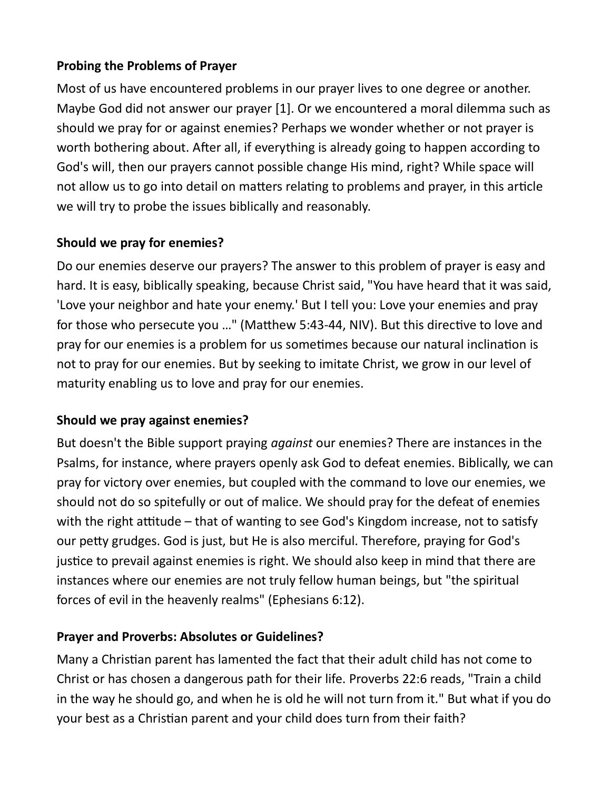### Probing the Problems of Prayer

Most of us have encountered problems in our prayer lives to one degree or another. Maybe God did not answer our prayer [1]. Or we encountered a moral dilemma such as should we pray for or against enemies? Perhaps we wonder whether or not prayer is worth bothering about. After all, if everything is already going to happen according to God's will, then our prayers cannot possible change His mind, right? While space will not allow us to go into detail on matters relating to problems and prayer, in this article we will try to probe the issues biblically and reasonably.

## Should we pray for enemies?

Do our enemies deserve our prayers? The answer to this problem of prayer is easy and hard. It is easy, biblically speaking, because Christ said, "You have heard that it was said, 'Love your neighbor and hate your enemy.' But I tell you: Love your enemies and pray for those who persecute you ..." (Matthew 5:43-44, NIV). But this directive to love and pray for our enemies is a problem for us sometimes because our natural inclination is not to pray for our enemies. But by seeking to imitate Christ, we grow in our level of maturity enabling us to love and pray for our enemies.

### Should we pray against enemies?

But doesn't the Bible support praying *against* our enemies? There are instances in the Psalms, for instance, where prayers openly ask God to defeat enemies. Biblically, we can pray for victory over enemies, but coupled with the command to love our enemies, we should not do so spitefully or out of malice. We should pray for the defeat of enemies with the right attitude – that of wanting to see God's Kingdom increase, not to satisfy our peƩy grudges. God is just, but He is also merciful. Therefore, praying for God's justice to prevail against enemies is right. We should also keep in mind that there are instances where our enemies are not truly fellow human beings, but "the spiritual forces of evil in the heavenly realms" (Ephesians 6:12).

# Prayer and Proverbs: Absolutes or Guidelines?

Many a Christian parent has lamented the fact that their adult child has not come to Christ or has chosen a dangerous path for their life. Proverbs 22:6 reads, "Train a child in the way he should go, and when he is old he will not turn from it." But what if you do your best as a Christian parent and your child does turn from their faith?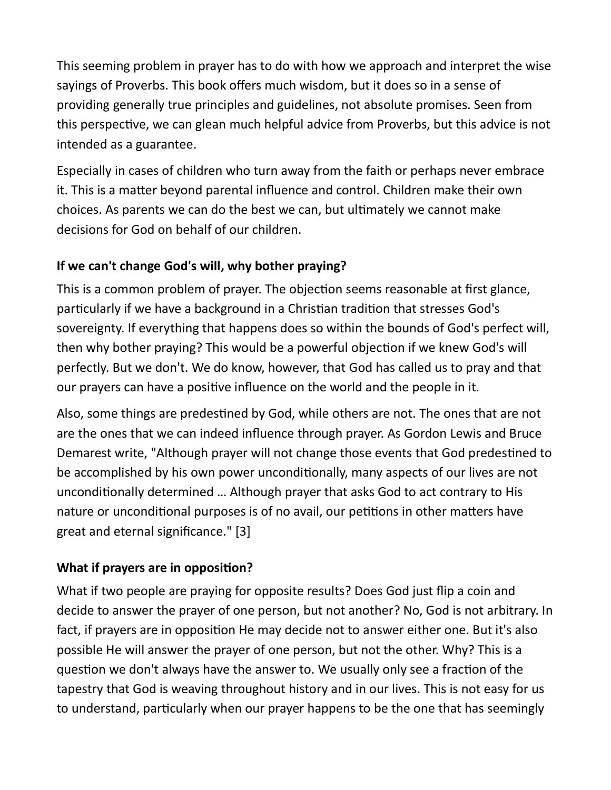This seeming problem in prayer has to do with how we approach and interpret the wise sayings of Proverbs. This book offers much wisdom, but it does so in a sense of providing generally true principles and guidelines, not absolute promises. Seen from this perspective, we can glean much helpful advice from Proverbs, but this advice is not intended as a guarantee.

Especially in cases of children who turn away from the faith or perhaps never embrace it. This is a matter beyond parental influence and control. Children make their own choices. As parents we can do the best we can, but ultimately we cannot make decisions for God on behalf of our children.

## If we can't change God's will, why bother praying?

This is a common problem of prayer. The objection seems reasonable at first glance, particularly if we have a background in a Christian tradition that stresses God's sovereignty. If everything that happens does so within the bounds of God's perfect will, then why bother praying? This would be a powerful objection if we knew God's will perfectly. But we don't. We do know, however, that God has called us to pray and that our prayers can have a positive influence on the world and the people in it.

Also, some things are predestined by God, while others are not. The ones that are not are the ones that we can indeed influence through prayer. As Gordon Lewis and Bruce Demarest write, "Although prayer will not change those events that God predestined to be accomplished by his own power unconditionally, many aspects of our lives are not unconditionally determined ... Although prayer that asks God to act contrary to His nature or unconditional purposes is of no avail, our petitions in other matters have great and eternal significance." [3]

### What if prayers are in opposition?

What if two people are praying for opposite results? Does God just flip a coin and decide to answer the prayer of one person, but not another? No, God is not arbitrary. In fact, if prayers are in opposition He may decide not to answer either one. But it's also possible He will answer the prayer of one person, but not the other. Why? This is a question we don't always have the answer to. We usually only see a fraction of the tapestry that God is weaving throughout history and in our lives. This is not easy for us to understand, particularly when our prayer happens to be the one that has seemingly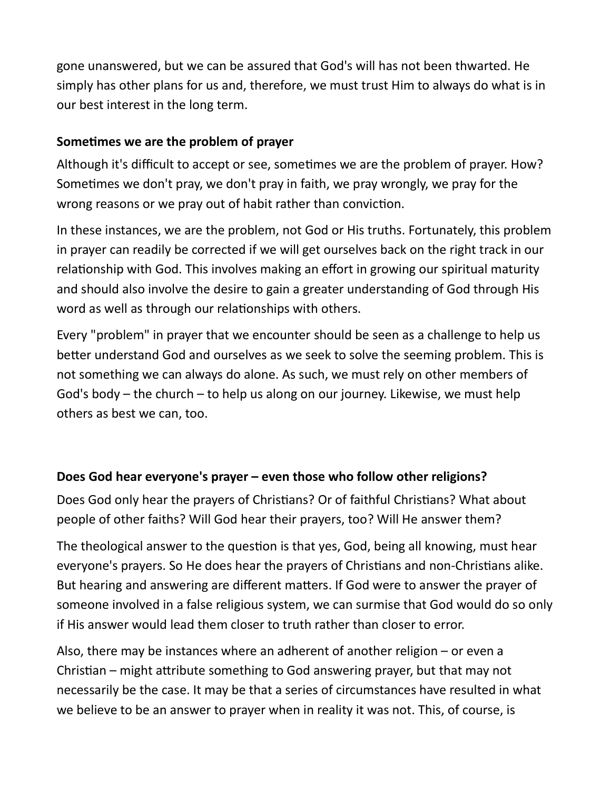gone unanswered, but we can be assured that God's will has not been thwarted. He simply has other plans for us and, therefore, we must trust Him to always do what is in our best interest in the long term.

### Sometimes we are the problem of prayer

Although it's difficult to accept or see, sometimes we are the problem of prayer. How? Sometimes we don't pray, we don't pray in faith, we pray wrongly, we pray for the wrong reasons or we pray out of habit rather than conviction.

In these instances, we are the problem, not God or His truths. Fortunately, this problem in prayer can readily be corrected if we will get ourselves back on the right track in our relationship with God. This involves making an effort in growing our spiritual maturity and should also involve the desire to gain a greater understanding of God through His word as well as through our relationships with others.

Every "problem" in prayer that we encounter should be seen as a challenge to help us better understand God and ourselves as we seek to solve the seeming problem. This is not something we can always do alone. As such, we must rely on other members of God's body – the church – to help us along on our journey. Likewise, we must help others as best we can, too.

### Does God hear everyone's prayer – even those who follow other religions?

Does God only hear the prayers of Christians? Or of faithful Christians? What about people of other faiths? Will God hear their prayers, too? Will He answer them?

The theological answer to the question is that yes, God, being all knowing, must hear everyone's prayers. So He does hear the prayers of Christians and non-Christians alike. But hearing and answering are different matters. If God were to answer the prayer of someone involved in a false religious system, we can surmise that God would do so only if His answer would lead them closer to truth rather than closer to error.

Also, there may be instances where an adherent of another religion – or even a Christian – might attribute something to God answering prayer, but that may not necessarily be the case. It may be that a series of circumstances have resulted in what we believe to be an answer to prayer when in reality it was not. This, of course, is